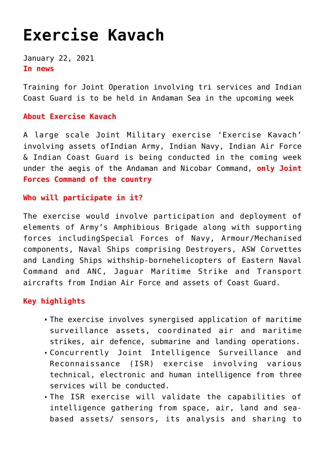# **[Exercise Kavach](https://journalsofindia.com/exercise-kavach/)**

January 22, 2021 **In news** 

Training for Joint Operation involving tri services and Indian Coast Guard is to be held in Andaman Sea in the upcoming week

# **About Exercise Kavach**

A large scale Joint Military exercise 'Exercise Kavach' involving assets ofIndian Army, Indian Navy, Indian Air Force & Indian Coast Guard is being conducted in the coming week under the aegis of the Andaman and Nicobar Command, **only Joint Forces Command of the country**

# **Who will participate in it?**

The exercise would involve participation and deployment of elements of Army's Amphibious Brigade along with supporting forces includingSpecial Forces of Navy, Armour/Mechanised components, Naval Ships comprising Destroyers, ASW Corvettes and Landing Ships withship-bornehelicopters of Eastern Naval Command and ANC, Jaguar Maritime Strike and Transport aircrafts from Indian Air Force and assets of Coast Guard.

# **Key highlights**

- The exercise involves synergised application of maritime surveillance assets, coordinated air and maritime strikes, air defence, submarine and landing operations.
- Concurrently Joint Intelligence Surveillance and Reconnaissance (ISR) exercise involving various technical, electronic and human intelligence from three services will be conducted.
- The ISR exercise will validate the capabilities of intelligence gathering from space, air, land and seabased assets/ sensors, its analysis and sharing to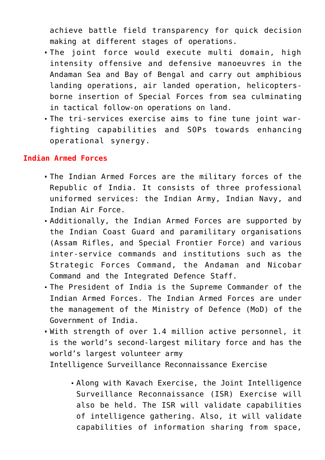achieve battle field transparency for quick decision making at different stages of operations.

- The joint force would execute multi domain, high intensity offensive and defensive manoeuvres in the Andaman Sea and Bay of Bengal and carry out amphibious landing operations, air landed operation, helicoptersborne insertion of Special Forces from sea culminating in tactical follow-on operations on land.
- The tri-services exercise aims to fine tune joint warfighting capabilities and SOPs towards enhancing operational synergy.

#### **Indian Armed Forces**

- The Indian Armed Forces are the military forces of the Republic of India. It consists of three professional uniformed services: the Indian Army, Indian Navy, and Indian Air Force.
- Additionally, the Indian Armed Forces are supported by the Indian Coast Guard and paramilitary organisations (Assam Rifles, and Special Frontier Force) and various inter-service commands and institutions such as the Strategic Forces Command, the Andaman and Nicobar Command and the Integrated Defence Staff.
- The President of India is the Supreme Commander of the Indian Armed Forces. The Indian Armed Forces are under the management of the Ministry of Defence (MoD) of the Government of India.
- With strength of over 1.4 million active personnel, it is the world's second-largest military force and has the world's largest volunteer army

Intelligence Surveillance Reconnaissance Exercise

Along with Kavach Exercise, the Joint Intelligence Surveillance Reconnaissance (ISR) Exercise will also be held. The ISR will validate capabilities of intelligence gathering. Also, it will validate capabilities of information sharing from space,